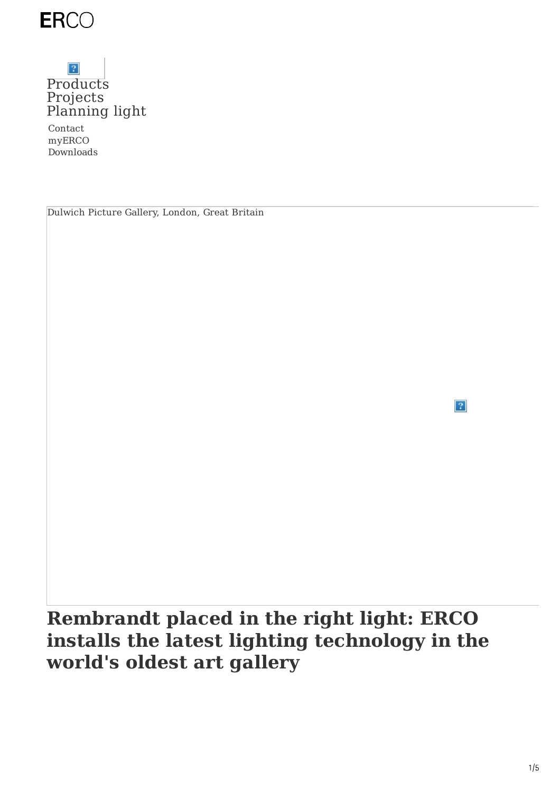

### $|\mathcal{P}|$ [Products](https://www.erco.com/en_us/products/products-7293/) [Projects](https://www.erco.com/en_us/projects/projects-7292/) [Planning](https://www.erco.com/en_us/designing-with-light/designing-with-light-7294/) light

Contact myERCO Downloads

Dulwich Picture Gallery, London, Great Britain

 $\left|2\right\rangle$ 

**Rembrandt placed in the right light: ERCO installs the latest lighting technology in the world's oldest art gallery**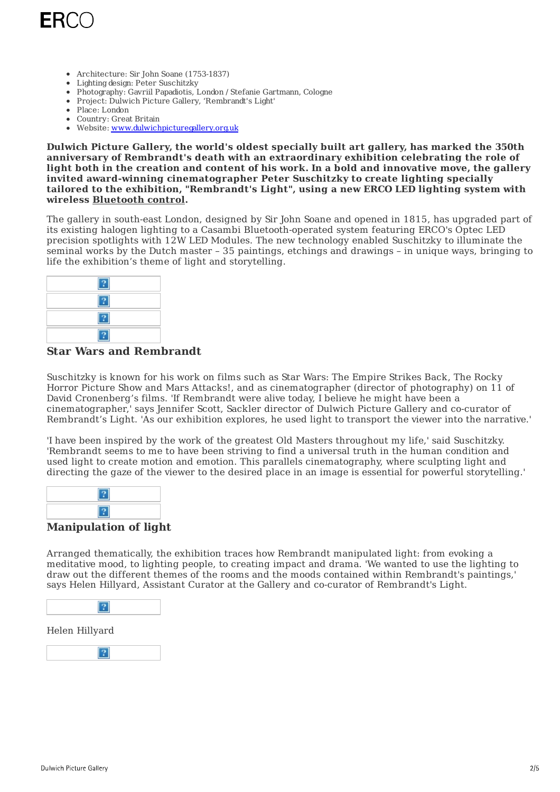

- Architecture: Sir John Soane (1753-1837)
- Lighting design: Peter Suschitzky
- Photography: Gavriil Papadiotis, London / Stefanie Gartmann, Cologne
- Project: Dulwich Picture Gallery, 'Rembrandt's Light'
- Place: London
- Country: Great Britain
- Website: [www.dulwichpicturegallery.org.uk](https://www.dulwichpicturegallery.org.uk/)

**Dulwich Picture Gallery, the world's oldest specially built art gallery, has marked the 350th anniversary of Rembrandt's death with an extraordinary exhibition celebrating the role of light both in the creation and content of his work. In a bold and innovative move, the gallery invited award-winning cinematographer Peter Suschitzky to create lighting specially tailored to the exhibition, "Rembrandt's Light", using a new ERCO LED lighting system with wireless [Bluetooth](https://www.erco.com/en_us/service/wireless-control-of-erco-luminaires-with-casambi-bluetooth-6998/) control.**

The gallery in south-east London, designed by Sir John Soane and opened in 1815, has upgraded part of its existing halogen lighting to a Casambi Bluetooth-operated system featuring ERCO's Optec LED precision spotlights with 12W LED Modules. The new technology enabled Suschitzky to illuminate the seminal works by the Dutch master – 35 paintings, etchings and drawings – in unique ways, bringing to life the exhibition's theme of light and storytelling.



#### **Star Wars and Rembrandt**

Suschitzky is known for his work on films such as Star Wars: The Empire Strikes Back, The Rocky Horror Picture Show and Mars Attacks!, and as cinematographer (director of photography) on 11 of David Cronenberg's films. 'If Rembrandt were alive today, I believe he might have been a cinematographer,' says Jennifer Scott, Sackler director of Dulwich Picture Gallery and co-curator of Rembrandt's Light. 'As our exhibition explores, he used light to transport the viewer into the narrative.'

'I have been inspired by the work of the greatest Old Masters throughout my life,' said Suschitzky. 'Rembrandt seems to me to have been striving to find a universal truth in the human condition and used light to create motion and emotion. This parallels cinematography, where sculpting light and directing the gaze of the viewer to the desired place in an image is essential for powerful storytelling.'

#### **Manipulation of light**

Arranged thematically, the exhibition traces how Rembrandt manipulated light: from evoking a meditative mood, to lighting people, to creating impact and drama. 'We wanted to use the lighting to draw out the different themes of the rooms and the moods contained within Rembrandt's paintings,' says Helen Hillyard, Assistant Curator at the Gallery and co-curator of Rembrandt's Light.



#### Helen Hillyard

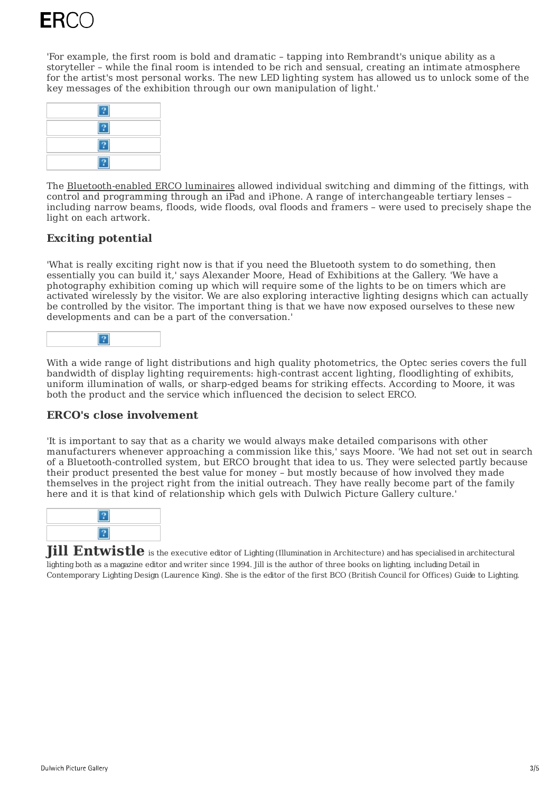'For example, the first room is bold and dramatic – tapping into Rembrandt's unique ability as a storyteller – while the final room is intended to be rich and sensual, creating an intimate atmosphere for the artist's most personal works. The new LED lighting system has allowed us to unlock some of the key messages of the exhibition through our own manipulation of light.'



The [Bluetooth-enabled](https://www.erco.com/en_us/service/wireless-control-of-erco-luminaires-with-casambi-bluetooth-6998/) ERCO luminaires allowed individual switching and dimming of the fittings, with control and programming through an iPad and iPhone. A range of interchangeable tertiary lenses – including narrow beams, floods, wide floods, oval floods and framers – were used to precisely shape the light on each artwork.

#### **Exciting potential**

'What is really exciting right now is that if you need the Bluetooth system to do something, then essentially you can build it,' says Alexander Moore, Head of Exhibitions at the Gallery. 'We have a photography exhibition coming up which will require some of the lights to be on timers which are activated wirelessly by the visitor. We are also exploring interactive lighting designs which can actually be controlled by the visitor. The important thing is that we have now exposed ourselves to these new developments and can be a part of the conversation.'



With a wide range of light distributions and high quality photometrics, the Optec series covers the full bandwidth of display lighting requirements: high-contrast accent lighting, floodlighting of exhibits, uniform illumination of walls, or sharp-edged beams for striking effects. According to Moore, it was both the product and the service which influenced the decision to select ERCO.

#### **ERCO's close involvement**

'It is important to say that as a charity we would always make detailed comparisons with other manufacturers whenever approaching a commission like this,' says Moore. 'We had not set out in search of a Bluetooth-controlled system, but ERCO brought that idea to us. They were selected partly because their product presented the best value for money – but mostly because of how involved they made themselves in the project right from the initial outreach. They have really become part of the family here and it is that kind of relationship which gels with Dulwich Picture Gallery culture.'



**Jill Entwistle** is the executive editor of Lighting (Illumination in Architecture) and has specialised in architectural lighting both as a magazine editor and writer since 1994. Jill is the author of three books on lighting, including Detail in Contemporary Lighting Design (Laurence King). She is the editor of the first BCO (British Council for Offices) Guide to Lighting.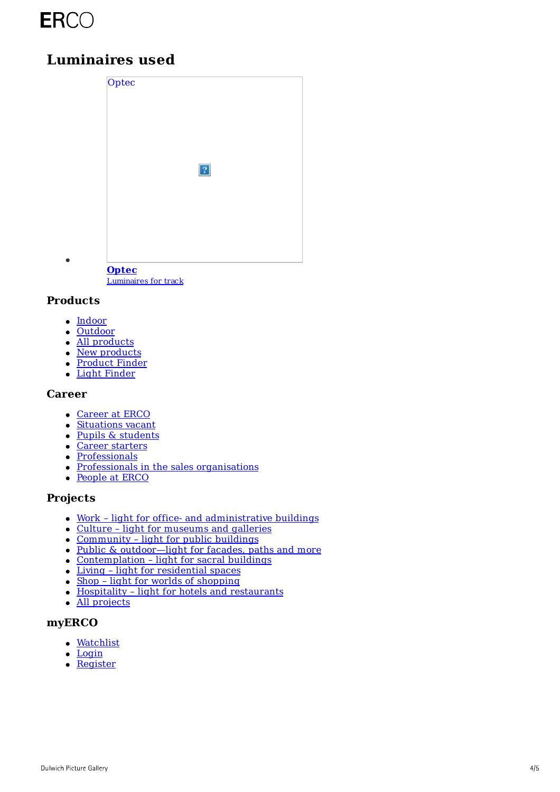## **ERCO**

### **Luminaires used**



**Optec**

[Luminaires](https://www.erco.com/en_us/products/indoor/luminaires-for-track/optec-125/) for track

#### **Products**

 $\bullet$ 

- [Indoor](https://www.erco.com/en_us/products/indoor/overview-5760/)
- [Outdoor](https://www.erco.com/en_us/products/outdoor/overview-5764/)
- All [products](https://www.erco.com/en_us/products/products-6202/)
- New [products](https://www.erco.com/en_us/projects/focus/products/new-products-2022-1-7358/)
- [Product](https://www.erco.com/en_us/products/product-finder-7093/) Finder
- Light [Finder](https://www.erco.com/en_us/products/light-finder-7133/)

#### **Career**

- [Career](https://www.erco.com/en_us/career/career-at-erco-7019/) at ERCO
- [Situations](https://www.erco.com/en_us/career/situations-vacant-7032/) vacant
- Pupils & [students](https://www.erco.com/en_us/career/pupils-students/vocational-training-and-dual-studies-7020/)
- Career [starters](https://www.erco.com/en_us/career/career-at-erco/career-starters-7016/)
- [Professionals](https://www.erco.com/en_us/career/career-at-erco/professionals-7017/)
- Professionals in the sales [organisations](https://www.erco.com/en_us/career/career-at-erco/professionals-in-the-sales-organisations-7018/)
- [People](https://www.erco.com/en_us/career/people-at-erco-7021/) at ERCO

#### **Projects**

- Work light for office- and [administrative](https://www.erco.com/en_us/projects/projects-6200/?filter=work) buildings
- Culture light for [museums](https://www.erco.com/en_us/projects/projects-6200/?filter=culture) and galleries
- [Community](https://www.erco.com/en_us/projects/projects-6200/?filter=community) light for public buildings
- Public & [outdoor—light](https://www.erco.com/en_us/projects/projects-6200/?filter=public) for facades, paths and more
- [Contemplation](https://www.erco.com/en_us/projects/projects-6200/?filter=contemplation) light for sacral buildings
- Living light for [residential](https://www.erco.com/en_us/projects/projects-6200/?filter=living) spaces
- Shop light for worlds of [shopping](https://www.erco.com/en_us/projects/projects-6200/?filter=shop)
- Hospitality light for hotels and [restaurants](https://www.erco.com/en_us/projects/projects-6200/?filter=hospitality)
- All [projects](https://www.erco.com/en_us/projects/projects-6200/)

#### **myERCO**

- [Watchlist](https://lightfinder.erco.com/myerco/en_us)
- [Login](https://lightfinder.erco.com/myerco/auth/form_login/en_us)
- [Register](https://lightfinder.erco.com/myerco/auth/create_user/en_us)